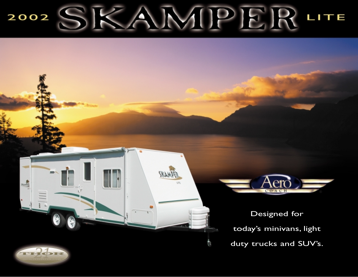## $D||E||$ 2002 LITE u



Designed for today's minivans, light

duty trucks and SUV's.